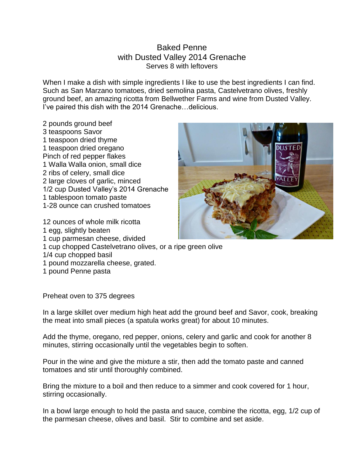## Baked Penne with Dusted Valley 2014 Grenache Serves 8 with leftovers

When I make a dish with simple ingredients I like to use the best ingredients I can find. Such as San Marzano tomatoes, dried semolina pasta, Castelvetrano olives, freshly ground beef, an amazing ricotta from Bellwether Farms and wine from Dusted Valley. I've paired this dish with the 2014 Grenache…delicious.

2 pounds ground beef 3 teaspoons Savor 1 teaspoon dried thyme 1 teaspoon dried oregano Pinch of red pepper flakes 1 Walla Walla onion, small dice 2 ribs of celery, small dice 2 large cloves of garlic, minced 1/2 cup Dusted Valley's 2014 Grenache 1 tablespoon tomato paste 1-28 ounce can crushed tomatoes

12 ounces of whole milk ricotta 1 egg, slightly beaten 1 cup parmesan cheese, divided 1 cup chopped Castelvetrano olives, or a ripe green olive 1/4 cup chopped basil

- 1 pound mozzarella cheese, grated.
- 1 pound Penne pasta

Preheat oven to 375 degrees

In a large skillet over medium high heat add the ground beef and Savor, cook, breaking the meat into small pieces (a spatula works great) for about 10 minutes.

Add the thyme, oregano, red pepper, onions, celery and garlic and cook for another 8 minutes, stirring occasionally until the vegetables begin to soften.

Pour in the wine and give the mixture a stir, then add the tomato paste and canned tomatoes and stir until thoroughly combined.

Bring the mixture to a boil and then reduce to a simmer and cook covered for 1 hour, stirring occasionally.

In a bowl large enough to hold the pasta and sauce, combine the ricotta, egg, 1/2 cup of the parmesan cheese, olives and basil. Stir to combine and set aside.